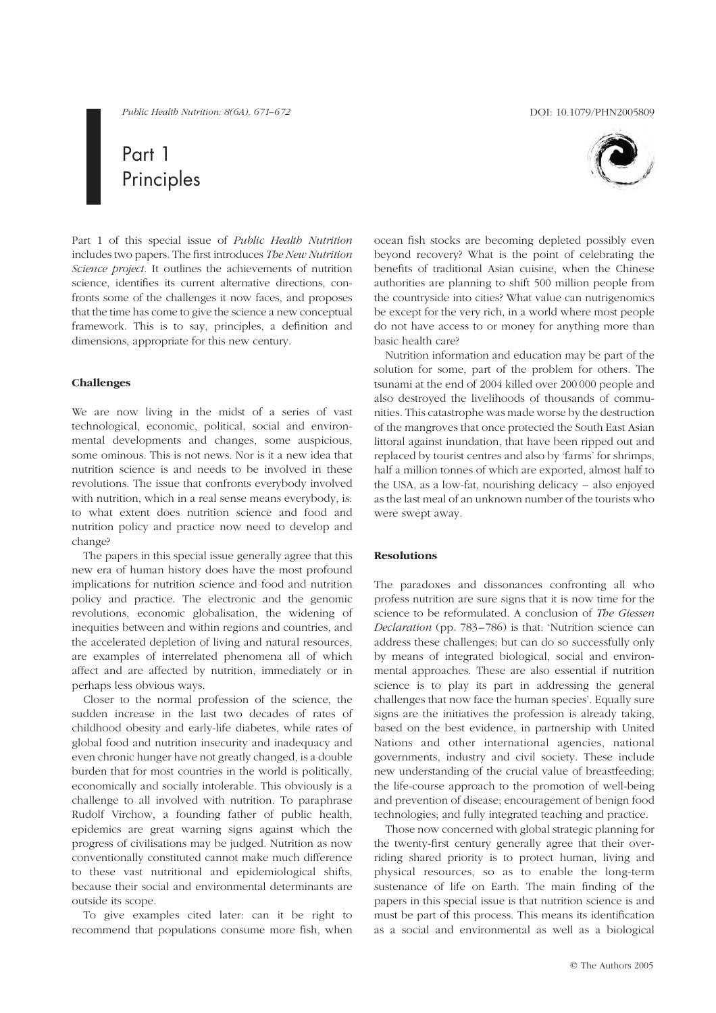Public Health Nutrition: 8(6A), 671–672 DOI: 10.1079/PHN2005809

# Part 1 Principles

Part 1 of this special issue of Public Health Nutrition includes two papers. The first introduces The New Nutrition Science project. It outlines the achievements of nutrition science, identifies its current alternative directions, confronts some of the challenges it now faces, and proposes that the time has come to give the science a new conceptual framework. This is to say, principles, a definition and dimensions, appropriate for this new century.

## Challenges

We are now living in the midst of a series of vast technological, economic, political, social and environmental developments and changes, some auspicious, some ominous. This is not news. Nor is it a new idea that nutrition science is and needs to be involved in these revolutions. The issue that confronts everybody involved with nutrition, which in a real sense means everybody, is: to what extent does nutrition science and food and nutrition policy and practice now need to develop and change?

The papers in this special issue generally agree that this new era of human history does have the most profound implications for nutrition science and food and nutrition policy and practice. The electronic and the genomic revolutions, economic globalisation, the widening of inequities between and within regions and countries, and the accelerated depletion of living and natural resources, are examples of interrelated phenomena all of which affect and are affected by nutrition, immediately or in perhaps less obvious ways.

Closer to the normal profession of the science, the sudden increase in the last two decades of rates of childhood obesity and early-life diabetes, while rates of global food and nutrition insecurity and inadequacy and even chronic hunger have not greatly changed, is a double burden that for most countries in the world is politically, economically and socially intolerable. This obviously is a challenge to all involved with nutrition. To paraphrase Rudolf Virchow, a founding father of public health, epidemics are great warning signs against which the progress of civilisations may be judged. Nutrition as now conventionally constituted cannot make much difference to these vast nutritional and epidemiological shifts, because their social and environmental determinants are outside its scope.

To give examples cited later: can it be right to recommend that populations consume more fish, when



ocean fish stocks are becoming depleted possibly even beyond recovery? What is the point of celebrating the benefits of traditional Asian cuisine, when the Chinese authorities are planning to shift 500 million people from the countryside into cities? What value can nutrigenomics be except for the very rich, in a world where most people do not have access to or money for anything more than basic health care?

Nutrition information and education may be part of the solution for some, part of the problem for others. The tsunami at the end of 2004 killed over 200 000 people and also destroyed the livelihoods of thousands of communities. This catastrophe was made worse by the destruction of the mangroves that once protected the South East Asian littoral against inundation, that have been ripped out and replaced by tourist centres and also by 'farms' for shrimps, half a million tonnes of which are exported, almost half to the USA, as a low-fat, nourishing delicacy – also enjoyed as the last meal of an unknown number of the tourists who were swept away.

## Resolutions

The paradoxes and dissonances confronting all who profess nutrition are sure signs that it is now time for the science to be reformulated. A conclusion of The Giessen Declaration (pp. 783–786) is that: 'Nutrition science can address these challenges; but can do so successfully only by means of integrated biological, social and environmental approaches. These are also essential if nutrition science is to play its part in addressing the general challenges that now face the human species'. Equally sure signs are the initiatives the profession is already taking, based on the best evidence, in partnership with United Nations and other international agencies, national governments, industry and civil society. These include new understanding of the crucial value of breastfeeding; the life-course approach to the promotion of well-being and prevention of disease; encouragement of benign food technologies; and fully integrated teaching and practice.

Those now concerned with global strategic planning for the twenty-first century generally agree that their overriding shared priority is to protect human, living and physical resources, so as to enable the long-term sustenance of life on Earth. The main finding of the papers in this special issue is that nutrition science is and must be part of this process. This means its identification as a social and environmental as well as a biological